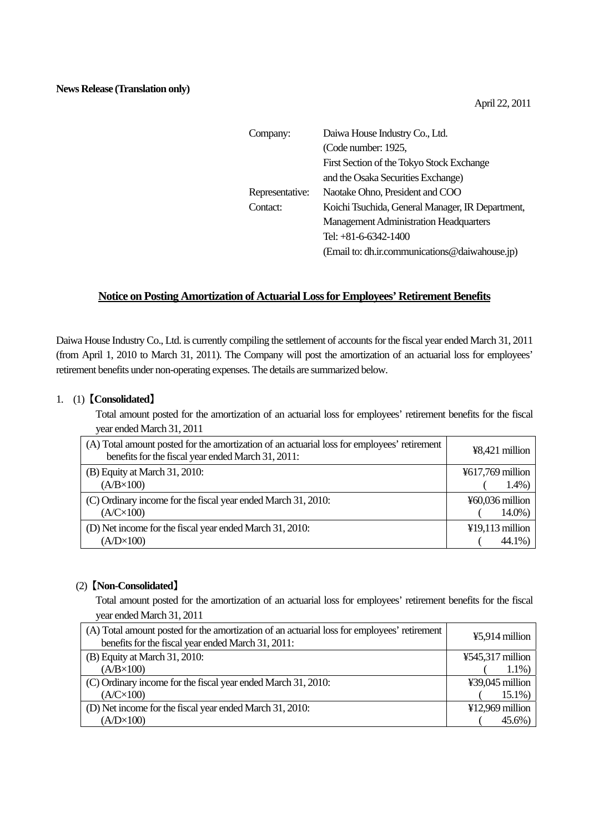| Company:        | Daiwa House Industry Co., Ltd.                   |
|-----------------|--------------------------------------------------|
|                 | (Code number: 1925,                              |
|                 | First Section of the Tokyo Stock Exchange        |
|                 | and the Osaka Securities Exchange)               |
| Representative: | Naotake Ohno, President and COO                  |
| Contact:        | Koichi Tsuchida, General Manager, IR Department, |
|                 | <b>Management Administration Headquarters</b>    |
|                 | Tel: $+81-6-6342-1400$                           |
|                 | (Email to: dh.ir.communications@daiwahouse.jp)   |

## **Notice on Posting Amortization of Actuarial Loss for Employees' Retirement Benefits**

Daiwa House Industry Co., Ltd. is currently compiling the settlement of accounts for the fiscal year ended March 31, 2011 (from April 1, 2010 to March 31, 2011). The Company will post the amortization of an actuarial loss for employees' retirement benefits under non-operating expenses. The details are summarized below.

## 1. (1) 【**Consolidated**】

Total amount posted for the amortization of an actuarial loss for employees' retirement benefits for the fiscal year ended March 31, 2011

| (A) Total amount posted for the amortization of an actuarial loss for employees' retirement<br>benefits for the fiscal year ended March 31, 2011: | ¥8,421 million    |
|---------------------------------------------------------------------------------------------------------------------------------------------------|-------------------|
| (B) Equity at March 31, 2010:                                                                                                                     | ¥617,769 million  |
| $(A/B \times 100)$                                                                                                                                | $1.4\%)$          |
| (C) Ordinary income for the fiscal year ended March 31, 2010:                                                                                     | ¥60,036 million   |
| $(A/C\times100)$                                                                                                                                  | $14.0\%$ )        |
| (D) Net income for the fiscal year ended March 31, 2010:                                                                                          | $¥19,113$ million |
| $(A/D \times 100)$                                                                                                                                | 44.1%)            |

## (2) 【**Non-Consolidated**】

Total amount posted for the amortization of an actuarial loss for employees' retirement benefits for the fiscal year ended March 31, 2011

| (A) Total amount posted for the amortization of an actuarial loss for employees' retirement<br>benefits for the fiscal year ended March 31, 2011: | ¥5,914 million   |
|---------------------------------------------------------------------------------------------------------------------------------------------------|------------------|
| (B) Equity at March 31, 2010:                                                                                                                     | ¥545,317 million |
| $(A/B \times 100)$                                                                                                                                | $1.1\%)$         |
| (C) Ordinary income for the fiscal year ended March 31, 2010:                                                                                     | ¥39,045 million  |
| $(A/C\times100)$                                                                                                                                  | $15.1\%$         |
| (D) Net income for the fiscal year ended March 31, 2010:                                                                                          | ¥12,969 million  |
| $(A/D \times 100)$                                                                                                                                | 45.6%)           |